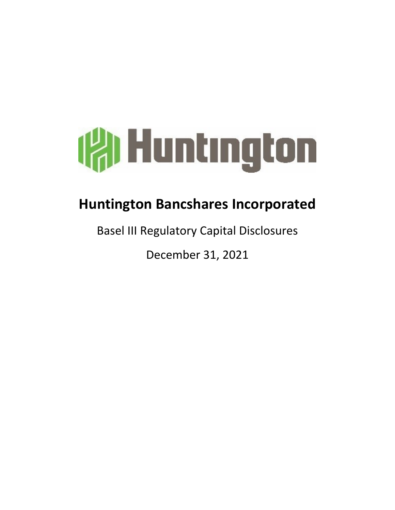

# **Huntington Bancshares Incorporated**

**Basel III Regulatory Capital Disclosures** 

December 31, 2021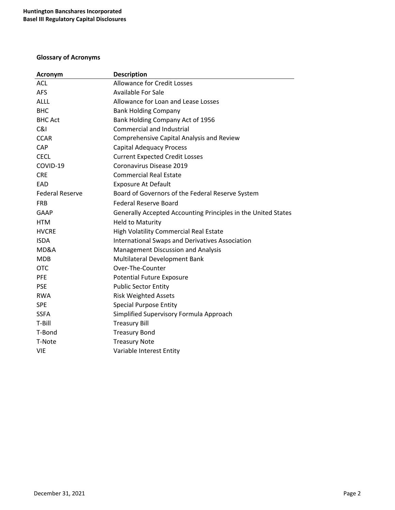# **Glossary of Acronyms**

| <b>Acronym</b>         | <b>Description</b>                                            |
|------------------------|---------------------------------------------------------------|
| <b>ACL</b>             | <b>Allowance for Credit Losses</b>                            |
| <b>AFS</b>             | <b>Available For Sale</b>                                     |
| <b>ALLL</b>            | Allowance for Loan and Lease Losses                           |
| <b>BHC</b>             | <b>Bank Holding Company</b>                                   |
| <b>BHC Act</b>         | Bank Holding Company Act of 1956                              |
| C&I                    | <b>Commercial and Industrial</b>                              |
| <b>CCAR</b>            | Comprehensive Capital Analysis and Review                     |
| <b>CAP</b>             | <b>Capital Adequacy Process</b>                               |
| <b>CECL</b>            | <b>Current Expected Credit Losses</b>                         |
| COVID-19               | Coronavirus Disease 2019                                      |
| <b>CRE</b>             | <b>Commercial Real Estate</b>                                 |
| EAD                    | <b>Exposure At Default</b>                                    |
| <b>Federal Reserve</b> | Board of Governors of the Federal Reserve System              |
| <b>FRB</b>             | <b>Federal Reserve Board</b>                                  |
| GAAP                   | Generally Accepted Accounting Principles in the United States |
| <b>HTM</b>             | <b>Held to Maturity</b>                                       |
| <b>HVCRE</b>           | High Volatility Commercial Real Estate                        |
| <b>ISDA</b>            | <b>International Swaps and Derivatives Association</b>        |
| MD&A                   | <b>Management Discussion and Analysis</b>                     |
| <b>MDB</b>             | Multilateral Development Bank                                 |
| <b>OTC</b>             | Over-The-Counter                                              |
| <b>PFE</b>             | <b>Potential Future Exposure</b>                              |
| <b>PSE</b>             | <b>Public Sector Entity</b>                                   |
| <b>RWA</b>             | <b>Risk Weighted Assets</b>                                   |
| <b>SPE</b>             | <b>Special Purpose Entity</b>                                 |
| <b>SSFA</b>            | Simplified Supervisory Formula Approach                       |
| T-Bill                 | <b>Treasury Bill</b>                                          |
| T-Bond                 | <b>Treasury Bond</b>                                          |
| T-Note                 | <b>Treasury Note</b>                                          |
| <b>VIE</b>             | Variable Interest Entity                                      |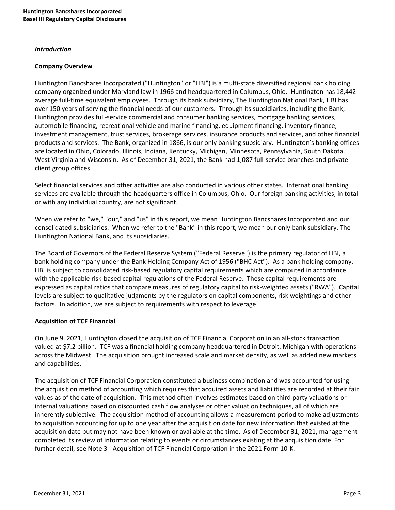#### *Introduction*

#### **Company Overview**

Huntington Bancshares Incorporated ("Huntington" or "HBI") is a multi-state diversified regional bank holding company organized under Maryland law in 1966 and headquartered in Columbus, Ohio. Huntington has 18,442 average full-time equivalent employees. Through its bank subsidiary, The Huntington National Bank, HBI has over 150 years of serving the financial needs of our customers. Through its subsidiaries, including the Bank, Huntington provides full-service commercial and consumer banking services, mortgage banking services, automobile financing, recreational vehicle and marine financing, equipment financing, inventory finance, investment management, trust services, brokerage services, insurance products and services, and other financial products and services. The Bank, organized in 1866, is our only banking subsidiary. Huntington's banking offices are located in Ohio, Colorado, Illinois, Indiana, Kentucky, Michigan, Minnesota, Pennsylvania, South Dakota, West Virginia and Wisconsin. As of December 31, 2021, the Bank had 1,087 full-service branches and private client group offices.

Select financial services and other activities are also conducted in various other states. International banking services are available through the headquarters office in Columbus, Ohio. Our foreign banking activities, in total or with any individual country, are not significant.

When we refer to "we," "our," and "us" in this report, we mean Huntington Bancshares Incorporated and our consolidated subsidiaries. When we refer to the "Bank" in this report, we mean our only bank subsidiary, The Huntington National Bank, and its subsidiaries.

The Board of Governors of the Federal Reserve System ("Federal Reserve") is the primary regulator of HBI, a bank holding company under the Bank Holding Company Act of 1956 ("BHC Act"). As a bank holding company, HBI is subject to consolidated risk-based regulatory capital requirements which are computed in accordance with the applicable risk-based capital regulations of the Federal Reserve. These capital requirements are expressed as capital ratios that compare measures of regulatory capital to risk-weighted assets ("RWA"). Capital levels are subject to qualitative judgments by the regulators on capital components, risk weightings and other factors. In addition, we are subject to requirements with respect to leverage.

#### **Acquisition of TCF Financial**

On June 9, 2021, Huntington closed the acquisition of TCF Financial Corporation in an all-stock transaction valued at \$7.2 billion. TCF was a financial holding company headquartered in Detroit, Michigan with operations across the Midwest. The acquisition brought increased scale and market density, as well as added new markets and capabilities.

The acquisition of TCF Financial Corporation constituted a business combination and was accounted for using the acquisition method of accounting which requires that acquired assets and liabilities are recorded at their fair values as of the date of acquisition. This method often involves estimates based on third party valuations or internal valuations based on discounted cash flow analyses or other valuation techniques, all of which are inherently subjective. The acquisition method of accounting allows a measurement period to make adjustments to acquisition accounting for up to one year after the acquisition date for new information that existed at the acquisition date but may not have been known or available at the time. As of December 31, 2021, management completed its review of information relating to events or circumstances existing at the acquisition date. For further detail, see Note 3 - Acquisition of TCF Financial Corporation in the 2021 Form 10-K.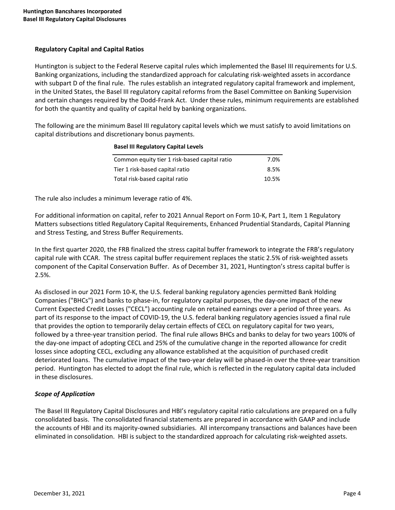# **Regulatory Capital and Capital Ratios**

Huntington is subject to the Federal Reserve capital rules which implemented the Basel III requirements for U.S. Banking organizations, including the standardized approach for calculating risk-weighted assets in accordance with subpart D of the final rule. The rules establish an integrated regulatory capital framework and implement, in the United States, the Basel III regulatory capital reforms from the Basel Committee on Banking Supervision and certain changes required by the Dodd-Frank Act. Under these rules, minimum requirements are established for both the quantity and quality of capital held by banking organizations.

The following are the minimum Basel III regulatory capital levels which we must satisfy to avoid limitations on capital distributions and discretionary bonus payments.

**Basel III Regulatory Capital Levels** 

| Common equity tier 1 risk-based capital ratio | 7.0%  |
|-----------------------------------------------|-------|
| Tier 1 risk-based capital ratio               | 8.5%  |
| Total risk-based capital ratio                | 10.5% |

The rule also includes a minimum leverage ratio of 4%.

For additional information on capital, refer to 2021 Annual Report on Form 10-K, Part 1, Item 1 Regulatory Matters subsections titled Regulatory Capital Requirements, Enhanced Prudential Standards, Capital Planning and Stress Testing, and Stress Buffer Requirements.

In the first quarter 2020, the FRB finalized the stress capital buffer framework to integrate the FRB's regulatory capital rule with CCAR. The stress capital buffer requirement replaces the static 2.5% of risk-weighted assets component of the Capital Conservation Buffer. As of December 31, 2021, Huntington's stress capital buffer is 2.5%.

As disclosed in our 2021 Form 10-K, the U.S. federal banking regulatory agencies permitted Bank Holding Companies ("BHCs") and banks to phase-in, for regulatory capital purposes, the day-one impact of the new Current Expected Credit Losses ("CECL") accounting rule on retained earnings over a period of three years. As part of its response to the impact of COVID-19, the U.S. federal banking regulatory agencies issued a final rule that provides the option to temporarily delay certain effects of CECL on regulatory capital for two years, followed by a three-year transition period. The final rule allows BHCs and banks to delay for two years 100% of the day-one impact of adopting CECL and 25% of the cumulative change in the reported allowance for credit losses since adopting CECL, excluding any allowance established at the acquisition of purchased credit deteriorated loans. The cumulative impact of the two-year delay will be phased-in over the three-year transition period. Huntington has elected to adopt the final rule, which is reflected in the regulatory capital data included in these disclosures.

# *Scope of Application*

The Basel III Regulatory Capital Disclosures and HBI's regulatory capital ratio calculations are prepared on a fully consolidated basis. The consolidated financial statements are prepared in accordance with GAAP and include the accounts of HBI and its majority-owned subsidiaries. All intercompany transactions and balances have been eliminated in consolidation. HBI is subject to the standardized approach for calculating risk-weighted assets.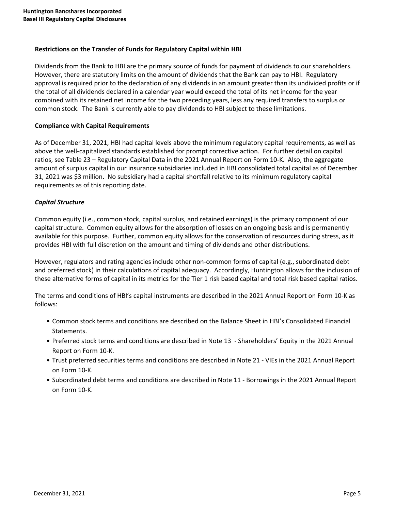## **Restrictions on the Transfer of Funds for Regulatory Capital within HBI**

Dividends from the Bank to HBI are the primary source of funds for payment of dividends to our shareholders. However, there are statutory limits on the amount of dividends that the Bank can pay to HBI. Regulatory approval is required prior to the declaration of any dividends in an amount greater than its undivided profits or if the total of all dividends declared in a calendar year would exceed the total of its net income for the year combined with its retained net income for the two preceding years, less any required transfers to surplus or common stock. The Bank is currently able to pay dividends to HBI subject to these limitations.

## **Compliance with Capital Requirements**

As of December 31, 2021, HBI had capital levels above the minimum regulatory capital requirements, as well as above the well-capitalized standards established for prompt corrective action. For further detail on capital ratios, see Table 23 – Regulatory Capital Data in the 2021 Annual Report on Form 10-K. Also, the aggregate amount of surplus capital in our insurance subsidiaries included in HBI consolidated total capital as of December 31, 2021 was \$3 million. No subsidiary had a capital shortfall relative to its minimum regulatory capital requirements as of this reporting date.

## *Capital Structure*

Common equity (i.e., common stock, capital surplus, and retained earnings) is the primary component of our capital structure. Common equity allows for the absorption of losses on an ongoing basis and is permanently available for this purpose. Further, common equity allows for the conservation of resources during stress, as it provides HBI with full discretion on the amount and timing of dividends and other distributions.

However, regulators and rating agencies include other non-common forms of capital (e.g., subordinated debt and preferred stock) in their calculations of capital adequacy. Accordingly, Huntington allows for the inclusion of these alternative forms of capital in its metrics for the Tier 1 risk based capital and total risk based capital ratios.

The terms and conditions of HBI's capital instruments are described in the 2021 Annual Report on Form 10-K as follows:

- Common stock terms and conditions are described on the Balance Sheet in HBI's Consolidated Financial Statements.
- Preferred stock terms and conditions are described in Note 13 Shareholders' Equity in the 2021 Annual Report on Form 10-K.
- Trust preferred securities terms and conditions are described in Note 21 VIEs in the 2021 Annual Report on Form 10-K.
- Subordinated debt terms and conditions are described in Note 11 Borrowings in the 2021 Annual Report on Form 10-K.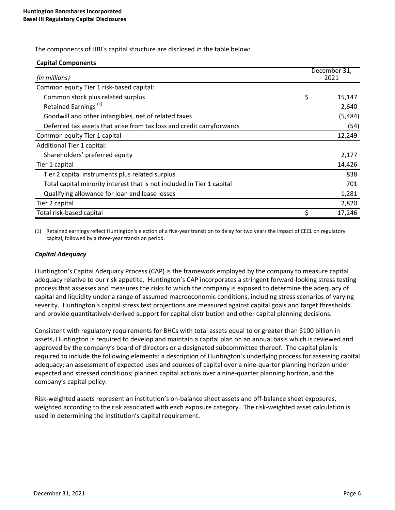The components of HBI's capital structure are disclosed in the table below:

#### **Capital Components**

| (in millions)                                                          | December 31,<br>2021 |
|------------------------------------------------------------------------|----------------------|
| Common equity Tier 1 risk-based capital:                               |                      |
| Common stock plus related surplus                                      | \$<br>15,147         |
| Retained Earnings <sup>(1)</sup>                                       | 2,640                |
| Goodwill and other intangibles, net of related taxes                   | (5, 484)             |
| Deferred tax assets that arise from tax loss and credit carryforwards  | (54)                 |
| Common equity Tier 1 capital                                           | 12,249               |
| Additional Tier 1 capital:                                             |                      |
| Shareholders' preferred equity                                         | 2,177                |
| Tier 1 capital                                                         | 14,426               |
| Tier 2 capital instruments plus related surplus                        | 838                  |
| Total capital minority interest that is not included in Tier 1 capital | 701                  |
| Qualifying allowance for loan and lease losses                         | 1,281                |
| Tier 2 capital                                                         | 2,820                |
| Total risk-based capital                                               | 17,246               |

(1) Retained earnings reflect Huntington's election of a five-year transition to delay for two years the impact of CECL on regulatory capital, followed by a three-year transition period.

#### *Capital Adequacy*

Huntington's Capital Adequacy Process (CAP) is the framework employed by the company to measure capital adequacy relative to our risk appetite. Huntington's CAP incorporates a stringent forward-looking stress testing process that assesses and measures the risks to which the company is exposed to determine the adequacy of capital and liquidity under a range of assumed macroeconomic conditions, including stress scenarios of varying severity. Huntington's capital stress test projections are measured against capital goals and target thresholds and provide quantitatively-derived support for capital distribution and other capital planning decisions.

Consistent with regulatory requirements for BHCs with total assets equal to or greater than \$100 billion in assets, Huntington is required to develop and maintain a capital plan on an annual basis which is reviewed and approved by the company's board of directors or a designated subcommittee thereof. The capital plan is required to include the following elements: a description of Huntington's underlying process for assessing capital adequacy; an assessment of expected uses and sources of capital over a nine-quarter planning horizon under expected and stressed conditions; planned capital actions over a nine-quarter planning horizon, and the company's capital policy.

Risk-weighted assets represent an institution's on-balance sheet assets and off-balance sheet exposures, weighted according to the risk associated with each exposure category. The risk-weighted asset calculation is used in determining the institution's capital requirement.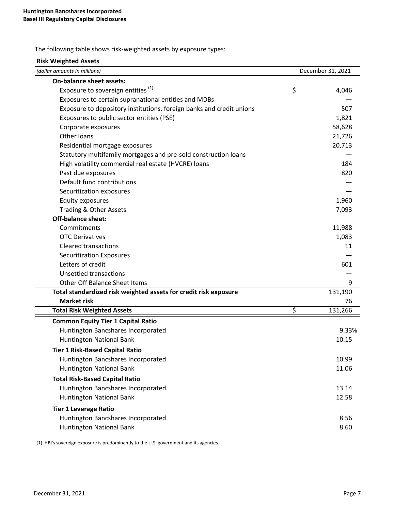The following table shows risk-weighted assets by exposure types:

| <b>Risk Weighted Assets</b>                                          |                   |
|----------------------------------------------------------------------|-------------------|
| (dollar amounts in millions)                                         | December 31, 2021 |
| On-balance sheet assets:                                             |                   |
| Exposure to sovereign entities <sup>(1)</sup>                        | \$<br>4,046       |
| Exposures to certain supranational entities and MDBs                 |                   |
| Exposure to depository institutions, foreign banks and credit unions | 507               |
| Exposures to public sector entities (PSE)                            | 1,821             |
| Corporate exposures                                                  | 58,628            |
| Other loans                                                          | 21,726            |
| Residential mortgage exposures                                       | 20,713            |
| Statutory multifamily mortgages and pre-sold construction loans      |                   |
| High volatility commercial real estate (HVCRE) loans                 | 184               |
| Past due exposures                                                   | 820               |
| Default fund contributions                                           |                   |
| Securitization exposures                                             |                   |
| Equity exposures                                                     | 1,960             |
| Trading & Other Assets                                               | 7,093             |
| <b>Off-balance sheet:</b>                                            |                   |
| Commitments                                                          | 11,988            |
| <b>OTC Derivatives</b>                                               | 1,083             |
| <b>Cleared transactions</b>                                          | 11                |
| <b>Securitization Exposures</b>                                      |                   |
| Letters of credit                                                    | 601               |
| Unsettled transactions                                               |                   |
| <b>Other Off Balance Sheet Items</b>                                 | 9                 |
| Total standardized risk weighted assets for credit risk exposure     | 131,190           |
| <b>Market risk</b>                                                   | 76                |
| <b>Total Risk Weighted Assets</b>                                    | \$<br>131,266     |
| <b>Common Equity Tier 1 Capital Ratio</b>                            |                   |
| Huntington Bancshares Incorporated                                   | 9.33%             |
| <b>Huntington National Bank</b>                                      | 10.15             |
| <b>Tier 1 Risk-Based Capital Ratio</b>                               |                   |
| Huntington Bancshares Incorporated                                   | 10.99             |
| Huntington National Bank                                             | 11.06             |
| <b>Total Risk-Based Capital Ratio</b>                                |                   |
| Huntington Bancshares Incorporated                                   | 13.14             |
| <b>Huntington National Bank</b>                                      | 12.58             |
| <b>Tier 1 Leverage Ratio</b>                                         |                   |
| Huntington Bancshares Incorporated                                   | 8.56              |
| <b>Huntington National Bank</b>                                      | 8.60              |

(1) HBI's sovereign exposure is predominantly to the U.S. government and its agencies.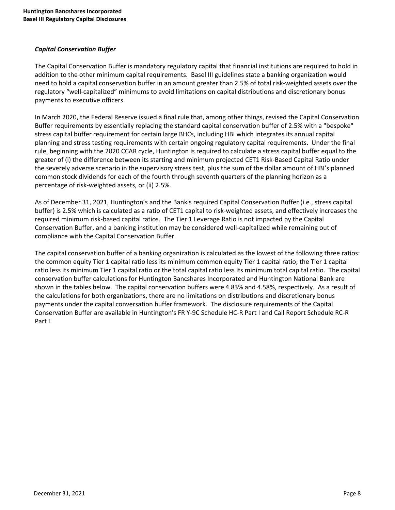# *Capital Conservation Buffer*

The Capital Conservation Buffer is mandatory regulatory capital that financial institutions are required to hold in addition to the other minimum capital requirements. Basel III guidelines state a banking organization would need to hold a capital conservation buffer in an amount greater than 2.5% of total risk-weighted assets over the regulatory "well-capitalized" minimums to avoid limitations on capital distributions and discretionary bonus payments to executive officers.

In March 2020, the Federal Reserve issued a final rule that, among other things, revised the Capital Conservation Buffer requirements by essentially replacing the standard capital conservation buffer of 2.5% with a "bespoke" stress capital buffer requirement for certain large BHCs, including HBI which integrates its annual capital planning and stress testing requirements with certain ongoing regulatory capital requirements. Under the final rule, beginning with the 2020 CCAR cycle, Huntington is required to calculate a stress capital buffer equal to the greater of (i) the difference between its starting and minimum projected CET1 Risk-Based Capital Ratio under the severely adverse scenario in the supervisory stress test, plus the sum of the dollar amount of HBI's planned common stock dividends for each of the fourth through seventh quarters of the planning horizon as a percentage of risk-weighted assets, or (ii) 2.5%.

As of December 31, 2021, Huntington's and the Bank's required Capital Conservation Buffer (i.e., stress capital buffer) is 2.5% which is calculated as a ratio of CET1 capital to risk-weighted assets, and effectively increases the required minimum risk-based capital ratios. The Tier 1 Leverage Ratio is not impacted by the Capital Conservation Buffer, and a banking institution may be considered well-capitalized while remaining out of compliance with the Capital Conservation Buffer.

The capital conservation buffer of a banking organization is calculated as the lowest of the following three ratios: the common equity Tier 1 capital ratio less its minimum common equity Tier 1 capital ratio; the Tier 1 capital ratio less its minimum Tier 1 capital ratio or the total capital ratio less its minimum total capital ratio. The capital conservation buffer calculations for Huntington Bancshares Incorporated and Huntington National Bank are shown in the tables below. The capital conservation buffers were 4.83% and 4.58%, respectively. As a result of the calculations for both organizations, there are no limitations on distributions and discretionary bonus payments under the capital conversation buffer framework. The disclosure requirements of the Capital Conservation Buffer are available in Huntington's FR Y-9C Schedule HC-R Part I and Call Report Schedule RC-R Part I.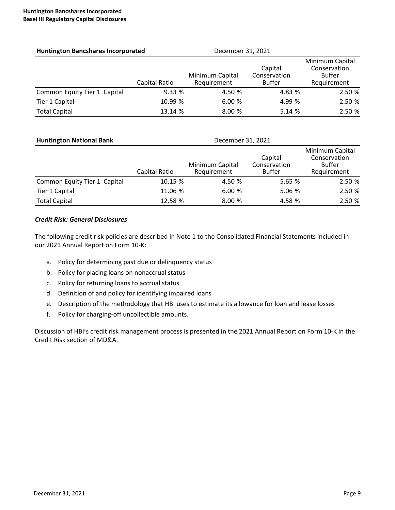| <b>Huntington Bancshares Incorporated</b> |               | December 31, 2021              |                                          |                                                                 |
|-------------------------------------------|---------------|--------------------------------|------------------------------------------|-----------------------------------------------------------------|
|                                           | Capital Ratio | Minimum Capital<br>Requirement | Capital<br>Conservation<br><b>Buffer</b> | Minimum Capital<br>Conservation<br><b>Buffer</b><br>Requirement |
| Common Equity Tier 1 Capital              | 9.33%         | 4.50 %                         | 4.83 %                                   | 2.50 %                                                          |
| Tier 1 Capital                            | 10.99 %       | 6.00%                          | 4.99 %                                   | 2.50 %                                                          |
| <b>Total Capital</b>                      | 13.14 %       | 8.00%                          | 5.14%                                    | 2.50 %                                                          |

| <b>Huntington National Bank</b> |               | December 31, 2021              |                                          |                                                          |  |  |  |  |  |
|---------------------------------|---------------|--------------------------------|------------------------------------------|----------------------------------------------------------|--|--|--|--|--|
|                                 | Capital Ratio | Minimum Capital<br>Requirement | Capital<br>Conservation<br><b>Buffer</b> | Minimum Capital<br>Conservation<br>Buffer<br>Requirement |  |  |  |  |  |
| Common Equity Tier 1 Capital    | 10.15 %       | 4.50 %                         | 5.65 %                                   | 2.50 %                                                   |  |  |  |  |  |
| Tier 1 Capital                  | 11.06 %       | 6.00%                          | 5.06 %                                   | 2.50 %                                                   |  |  |  |  |  |
| <b>Total Capital</b>            | 12.58 %       | 8.00 %                         | 4.58 %                                   | 2.50 %                                                   |  |  |  |  |  |

# *Credit Risk: General Disclosures*

The following credit risk policies are described in Note 1 to the Consolidated Financial Statements included in our 2021 Annual Report on Form 10-K:

- a. Policy for determining past due or delinquency status
- b. Policy for placing loans on nonaccrual status
- c. Policy for returning loans to accrual status
- d. Definition of and policy for identifying impaired loans
- e. Description of the methodology that HBI uses to estimate its allowance for loan and lease losses
- f. Policy for charging-off uncollectible amounts.

Discussion of HBI's credit risk management process is presented in the 2021 Annual Report on Form 10-K in the Credit Risk section of MD&A.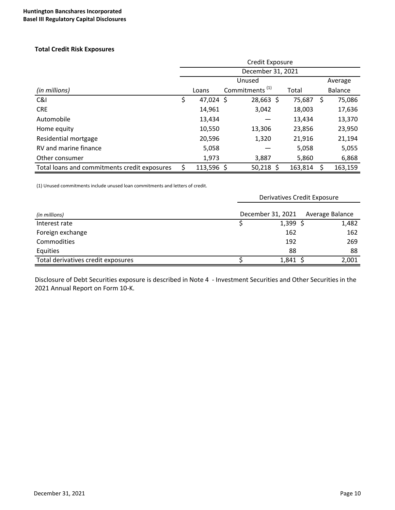## **Total Credit Risk Exposures**

|                                              | Credit Exposure<br>December 31, 2021 |              |  |                            |  |         |    |                |  |  |  |  |
|----------------------------------------------|--------------------------------------|--------------|--|----------------------------|--|---------|----|----------------|--|--|--|--|
|                                              |                                      |              |  |                            |  |         |    |                |  |  |  |  |
|                                              |                                      |              |  | Average                    |  |         |    |                |  |  |  |  |
| (in millions)                                |                                      | Loans        |  | Commitments <sup>(1)</sup> |  | Total   |    | <b>Balance</b> |  |  |  |  |
| C&I                                          | \$                                   | 47,024 \$    |  | 28,663 \$                  |  | 75,687  | \$ | 75,086         |  |  |  |  |
| <b>CRE</b>                                   |                                      | 14,961       |  | 3,042                      |  | 18,003  |    | 17,636         |  |  |  |  |
| Automobile                                   |                                      | 13,434       |  |                            |  | 13,434  |    | 13,370         |  |  |  |  |
| Home equity                                  |                                      | 10,550       |  | 13,306                     |  | 23,856  |    | 23,950         |  |  |  |  |
| Residential mortgage                         |                                      | 20,596       |  | 1,320                      |  | 21,916  |    | 21,194         |  |  |  |  |
| RV and marine finance                        |                                      | 5,058        |  |                            |  | 5,058   |    | 5,055          |  |  |  |  |
| Other consumer                               |                                      | 1,973        |  | 3,887                      |  | 5,860   |    | 6,868          |  |  |  |  |
| Total loans and commitments credit exposures |                                      | $113,596$ \$ |  | $50,218$ \$                |  | 163,814 |    | 163,159        |  |  |  |  |

(1) Unused commitments include unused loan commitments and letters of credit.

|                                    | <b>Derivatives Credit Exposure</b> |                 |
|------------------------------------|------------------------------------|-----------------|
| (in millions)                      | December 31, 2021                  | Average Balance |
| Interest rate                      | $1,399$ \$                         | 1,482           |
| Foreign exchange                   | 162                                | 162             |
| <b>Commodities</b>                 | 192                                | 269             |
| Equities                           | 88                                 | 88              |
| Total derivatives credit exposures | 1,841                              | 2,001           |

Disclosure of Debt Securities exposure is described in Note 4 - Investment Securities and Other Securities in the 2021 Annual Report on Form 10-K.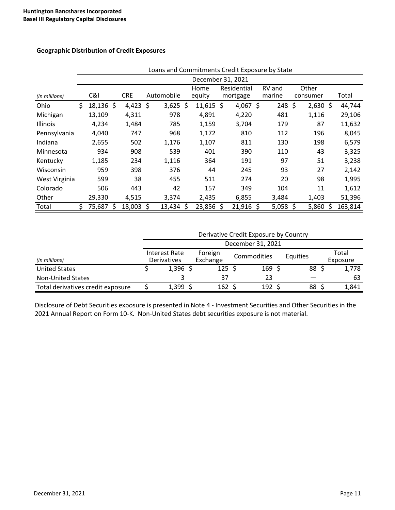#### **Geographic Distribution of Credit Exposures**

|               |                   | Loans and Commitments Credit Exposure by State |   |            |    |            |  |             |  |             |  |        |    |            |   |         |
|---------------|-------------------|------------------------------------------------|---|------------|----|------------|--|-------------|--|-------------|--|--------|----|------------|---|---------|
|               | December 31, 2021 |                                                |   |            |    |            |  |             |  |             |  |        |    |            |   |         |
|               |                   |                                                |   |            |    |            |  | Home        |  | Residential |  | RV and |    | Other      |   |         |
| (in millions) |                   | C&I                                            |   | <b>CRE</b> |    | Automobile |  | equity      |  | mortgage    |  | marine |    | consumer   |   | Total   |
| Ohio          | \$                | $18,136$ \$                                    |   | $4,423$ \$ |    | $3,625$ \$ |  | $11,615$ \$ |  | 4,067 \$    |  | 248    | \$ | $2,630$ \$ |   | 44,744  |
| Michigan      |                   | 13,109                                         |   | 4,311      |    | 978        |  | 4,891       |  | 4,220       |  | 481    |    | 1,116      |   | 29,106  |
| Illinois      |                   | 4,234                                          |   | 1,484      |    | 785        |  | 1,159       |  | 3,704       |  | 179    |    | 87         |   | 11,632  |
| Pennsylvania  |                   | 4,040                                          |   | 747        |    | 968        |  | 1,172       |  | 810         |  | 112    |    | 196        |   | 8,045   |
| Indiana       |                   | 2,655                                          |   | 502        |    | 1,176      |  | 1,107       |  | 811         |  | 130    |    | 198        |   | 6,579   |
| Minnesota     |                   | 934                                            |   | 908        |    | 539        |  | 401         |  | 390         |  | 110    |    | 43         |   | 3,325   |
| Kentucky      |                   | 1,185                                          |   | 234        |    | 1,116      |  | 364         |  | 191         |  | 97     |    | 51         |   | 3,238   |
| Wisconsin     |                   | 959                                            |   | 398        |    | 376        |  | 44          |  | 245         |  | 93     |    | 27         |   | 2,142   |
| West Virginia |                   | 599                                            |   | 38         |    | 455        |  | 511         |  | 274         |  | 20     |    | 98         |   | 1,995   |
| Colorado      |                   | 506                                            |   | 443        |    | 42         |  | 157         |  | 349         |  | 104    |    | 11         |   | 1,612   |
| Other         |                   | 29,330                                         |   | 4,515      |    | 3,374      |  | 2,435       |  | 6,855       |  | 3,484  |    | 1,403      |   | 51,396  |
| Total         | \$                | 75,687                                         | Ś | 18,003     | S. | 13,434 \$  |  | 23,856 \$   |  | $21,916$ \$ |  | 5,058  | Ś  | 5,860      | Ś | 163,814 |

# Loans and Commitments Credit Exposure by State

#### Derivative Credit Exposure by Country

| (in millions)                     |  | Interest Rate<br>Derivatives | Foreign<br>Exchange | Commodities |                  | Equities | Total<br>Exposure |
|-----------------------------------|--|------------------------------|---------------------|-------------|------------------|----------|-------------------|
| <b>United States</b>              |  | 1,396                        | 125 \$              |             | 169 <sup>5</sup> | 88       | 1,778             |
| <b>Non-United States</b>          |  |                              | 37                  |             | 23               |          | 63                |
| Total derivatives credit exposure |  | 1,399                        | 162                 |             | 192              | 88       | 1,841             |

Disclosure of Debt Securities exposure is presented in Note 4 - Investment Securities and Other Securities in the 2021 Annual Report on Form 10-K. Non-United States debt securities exposure is not material.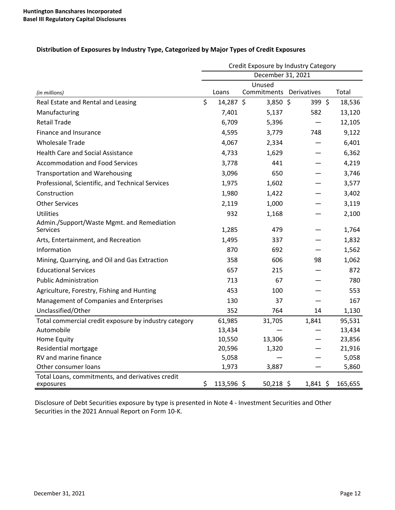|  |  |  | Distribution of Exposures by Industry Type, Categorized by Major Types of Credit Exposures |
|--|--|--|--------------------------------------------------------------------------------------------|
|  |  |  |                                                                                            |

|                                                               | Credit Exposure by Industry Category |            |                                   |            |  |         |  |  |  |  |  |
|---------------------------------------------------------------|--------------------------------------|------------|-----------------------------------|------------|--|---------|--|--|--|--|--|
|                                                               |                                      |            | December 31, 2021                 |            |  |         |  |  |  |  |  |
| (in millions)                                                 |                                      | Loans      | Unused<br>Commitments Derivatives |            |  | Total   |  |  |  |  |  |
| Real Estate and Rental and Leasing                            | \$                                   | 14,287 \$  | 3,850 \$                          | 399 \$     |  | 18,536  |  |  |  |  |  |
| Manufacturing                                                 |                                      | 7,401      | 5,137                             | 582        |  | 13,120  |  |  |  |  |  |
| <b>Retail Trade</b>                                           |                                      | 6,709      | 5,396                             |            |  | 12,105  |  |  |  |  |  |
| Finance and Insurance                                         |                                      | 4,595      | 3,779                             | 748        |  | 9,122   |  |  |  |  |  |
| <b>Wholesale Trade</b>                                        |                                      | 4,067      | 2,334                             |            |  | 6,401   |  |  |  |  |  |
| <b>Health Care and Social Assistance</b>                      |                                      | 4,733      | 1,629                             |            |  | 6,362   |  |  |  |  |  |
| <b>Accommodation and Food Services</b>                        |                                      | 3,778      | 441                               |            |  | 4,219   |  |  |  |  |  |
| <b>Transportation and Warehousing</b>                         |                                      | 3,096      | 650                               |            |  | 3,746   |  |  |  |  |  |
| Professional, Scientific, and Technical Services              |                                      | 1,975      | 1,602                             |            |  | 3,577   |  |  |  |  |  |
| Construction                                                  |                                      | 1,980      | 1,422                             |            |  | 3,402   |  |  |  |  |  |
| <b>Other Services</b>                                         |                                      | 2,119      | 1,000                             |            |  | 3,119   |  |  |  |  |  |
| <b>Utilities</b>                                              |                                      | 932        | 1,168                             |            |  | 2,100   |  |  |  |  |  |
| Admin./Support/Waste Mgmt. and Remediation<br>Services        |                                      | 1,285      | 479                               |            |  | 1,764   |  |  |  |  |  |
| Arts, Entertainment, and Recreation                           |                                      | 1,495      | 337                               |            |  | 1,832   |  |  |  |  |  |
| Information                                                   |                                      | 870        | 692                               |            |  | 1,562   |  |  |  |  |  |
| Mining, Quarrying, and Oil and Gas Extraction                 |                                      | 358        | 606                               | 98         |  | 1,062   |  |  |  |  |  |
| <b>Educational Services</b>                                   |                                      | 657        | 215                               |            |  | 872     |  |  |  |  |  |
| <b>Public Administration</b>                                  |                                      | 713        | 67                                |            |  | 780     |  |  |  |  |  |
| Agriculture, Forestry, Fishing and Hunting                    |                                      | 453        | 100                               |            |  | 553     |  |  |  |  |  |
| Management of Companies and Enterprises                       |                                      | 130        | 37                                |            |  | 167     |  |  |  |  |  |
| Unclassified/Other                                            |                                      | 352        | 764                               | 14         |  | 1,130   |  |  |  |  |  |
| Total commercial credit exposure by industry category         |                                      | 61,985     | 31,705                            | 1,841      |  | 95,531  |  |  |  |  |  |
| Automobile                                                    |                                      | 13,434     |                                   |            |  | 13,434  |  |  |  |  |  |
| Home Equity                                                   |                                      | 10,550     | 13,306                            |            |  | 23,856  |  |  |  |  |  |
| Residential mortgage                                          |                                      | 20,596     | 1,320                             |            |  | 21,916  |  |  |  |  |  |
| RV and marine finance                                         |                                      | 5,058      |                                   |            |  | 5,058   |  |  |  |  |  |
| Other consumer loans                                          |                                      | 1,973      | 3,887                             |            |  | 5,860   |  |  |  |  |  |
| Total Loans, commitments, and derivatives credit<br>exposures | \$                                   | 113,596 \$ | $50,218$ \$                       | $1,841$ \$ |  | 165,655 |  |  |  |  |  |

Disclosure of Debt Securities exposure by type is presented in Note 4 - Investment Securities and Other Securities in the 2021 Annual Report on Form 10-K.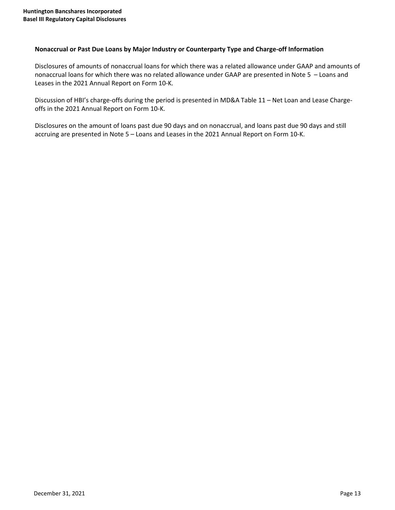## Nonaccrual or Past Due Loans by Major Industry or Counterparty Type and Charge-off Information

Disclosures of amounts of nonaccrual loans for which there was a related allowance under GAAP and amounts of nonaccrual loans for which there was no related allowance under GAAP are presented in Note 5 - Loans and Leases in the 2021 Annual Report on Form 10-K.

Discussion of HBI's charge-offs during the period is presented in MD&A Table 11 – Net Loan and Lease Chargeoffs in the 2021 Annual Report on Form 10-K.

Disclosures on the amount of loans past due 90 days and on nonaccrual, and loans past due 90 days and still accruing are presented in Note 5 - Loans and Leases in the 2021 Annual Report on Form 10-K.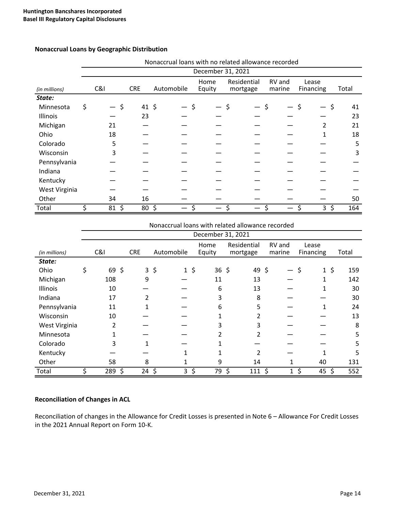|               | Nonaccrual loans with no related allowance recorded |               |            |            |  |        |             |        |           |          |
|---------------|-----------------------------------------------------|---------------|------------|------------|--|--------|-------------|--------|-----------|----------|
|               | December 31, 2021                                   |               |            |            |  |        |             |        |           |          |
|               |                                                     |               |            |            |  | Home   | Residential | RV and | Lease     |          |
| (in millions) |                                                     | C&l           | <b>CRE</b> | Automobile |  | Equity | mortgage    | marine | Financing | Total    |
| State:        |                                                     |               |            |            |  |        |             |        |           |          |
| Minnesota     | \$                                                  |               | 41, 5      |            |  |        |             | Ś      |           | \$<br>41 |
| Illinois      |                                                     |               | 23         |            |  |        |             |        |           | 23       |
| Michigan      |                                                     | 21            |            |            |  |        |             |        | 2         | 21       |
| Ohio          |                                                     | 18            |            |            |  |        |             |        | 1         | 18       |
| Colorado      |                                                     | 5             |            |            |  |        |             |        |           | 5        |
| Wisconsin     |                                                     | 3             |            |            |  |        |             |        |           | 3        |
| Pennsylvania  |                                                     |               |            |            |  |        |             |        |           |          |
| Indiana       |                                                     |               |            |            |  |        |             |        |           |          |
| Kentucky      |                                                     |               |            |            |  |        |             |        |           |          |
| West Virginia |                                                     |               |            |            |  |        |             |        |           |          |
| Other         |                                                     | 34            | 16         |            |  |        |             |        |           | 50       |
| Total         |                                                     | $\zeta$<br>81 | 80         | $\zeta$    |  |        |             |        | 3         | 164      |

## **Nonaccrual Loans by Geographic Distribution**

|               | Nonaccrual loans with related allowance recorded |            |          |            |    |            |             |         |                |       |
|---------------|--------------------------------------------------|------------|----------|------------|----|------------|-------------|---------|----------------|-------|
|               | December 31, 2021                                |            |          |            |    |            |             |         |                |       |
|               |                                                  |            |          |            |    | Home       | Residential | RV and  | Lease          |       |
| (in millions) | C&I                                              | <b>CRE</b> |          | Automobile |    | Equity     | mortgage    | marine  | Financing      | Total |
| State:        |                                                  |            |          |            |    |            |             |         |                |       |
| Ohio          | 69, 5                                            |            | $3\;$ \$ | $1\,$ \$   |    | $36 \;$ \$ | 49\$        |         | \$<br>$1\;$ \$ | 159   |
| Michigan      | 108                                              | 9          |          |            |    | 11         | 13          |         | 1              | 142   |
| Illinois      | 10                                               |            |          |            |    | 6          | 13          |         | 1              | 30    |
| Indiana       | 17                                               | 2          |          |            |    | 3          | 8           |         |                | 30    |
| Pennsylvania  | 11                                               |            |          |            |    | 6          | 5           |         |                | 24    |
| Wisconsin     | 10                                               |            |          |            |    |            |             |         |                | 13    |
| West Virginia | 2                                                |            |          |            |    | 3          | 3           |         |                | 8     |
| Minnesota     |                                                  |            |          |            |    |            |             |         |                | 5     |
| Colorado      | 3                                                |            |          |            |    |            |             |         |                | 5     |
| Kentucky      |                                                  |            |          |            |    |            | 2           |         |                | 5     |
| Other         | 58                                               | 8          |          |            |    | 9          | 14          | 1       | 40             | 131   |
| Total         | 289                                              | \$<br>24   | \$       | 3          | \$ | 79         | \$<br>111   | \$<br>1 | \$<br>45       | 552   |

# **Reconciliation of Changes in ACL**

Reconciliation of changes in the Allowance for Credit Losses is presented in Note 6 - Allowance For Credit Losses in the 2021 Annual Report on Form 10-K.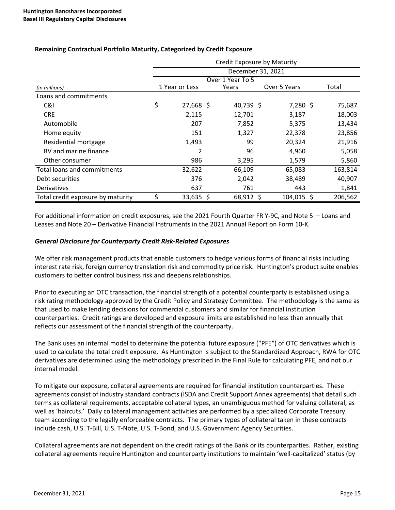|                                    | Credit Exposure by Maturity |                |  |           |              |               |
|------------------------------------|-----------------------------|----------------|--|-----------|--------------|---------------|
|                                    | December 31, 2021           |                |  |           |              |               |
|                                    |                             |                |  |           |              |               |
| (in millions)                      |                             | 1 Year or Less |  | Years     | Over 5 Years | Total         |
| Loans and commitments              |                             |                |  |           |              |               |
| C&I                                | \$                          | 27,668 \$      |  | 40,739 \$ | $7,280$ \$   | 75,687        |
| <b>CRE</b>                         |                             | 2,115          |  | 12,701    | 3,187        | 18,003        |
| Automobile                         |                             | 207            |  | 7,852     | 5,375        | 13,434        |
| Home equity                        |                             | 151            |  | 1,327     | 22,378       | 23,856        |
| Residential mortgage               |                             | 1,493          |  | 99        | 20,324       | 21,916        |
| RV and marine finance              |                             | 2              |  | 96        | 4,960        | 5,058         |
| Other consumer                     |                             | 986            |  | 3,295     | 1,579        | 5,860         |
| <b>Total loans and commitments</b> |                             | 32,622         |  | 66,109    | 65,083       | 163,814       |
| Debt securities                    |                             | 376            |  | 2,042     | 38,489       | 40,907        |
| Derivatives                        |                             | 637            |  | 761       | 443          | 1,841         |
| Total credit exposure by maturity  |                             | $33,635$ \$    |  | 68,912 \$ | 104,015      | 206,562<br>-S |

# **Remaining Contractual Portfolio Maturity, Categorized by Credit Exposure**

For additional information on credit exposures, see the 2021 Fourth Quarter FR Y-9C, and Note 5 - Loans and Leases and Note 20 – Derivative Financial Instruments in the 2021 Annual Report on Form 10-K.

#### *General Disclosure for Counterparty Credit Risk-Related Exposures*

We offer risk management products that enable customers to hedge various forms of financial risks including interest rate risk, foreign currency translation risk and commodity price risk. Huntington's product suite enables customers to better control business risk and deepens relationships.

Prior to executing an OTC transaction, the financial strength of a potential counterparty is established using a risk rating methodology approved by the Credit Policy and Strategy Committee. The methodology is the same as that used to make lending decisions for commercial customers and similar for financial institution counterparties. Credit ratings are developed and exposure limits are established no less than annually that reflects our assessment of the financial strength of the counterparty.

The Bank uses an internal model to determine the potential future exposure ("PFE") of OTC derivatives which is used to calculate the total credit exposure. As Huntington is subject to the Standardized Approach, RWA for OTC derivatives are determined using the methodology prescribed in the Final Rule for calculating PFE, and not our internal model.

To mitigate our exposure, collateral agreements are required for financial institution counterparties. These agreements consist of industry standard contracts (ISDA and Credit Support Annex agreements) that detail such terms as collateral requirements, acceptable collateral types, an unambiguous method for valuing collateral, as well as 'haircuts.' Daily collateral management activities are performed by a specialized Corporate Treasury team according to the legally enforceable contracts. The primary types of collateral taken in these contracts include cash, U.S. T-Bill, U.S. T-Note, U.S. T-Bond, and U.S. Government Agency Securities.

Collateral agreements are not dependent on the credit ratings of the Bank or its counterparties. Rather, existing collateral agreements require Huntington and counterparty institutions to maintain 'well-capitalized' status (by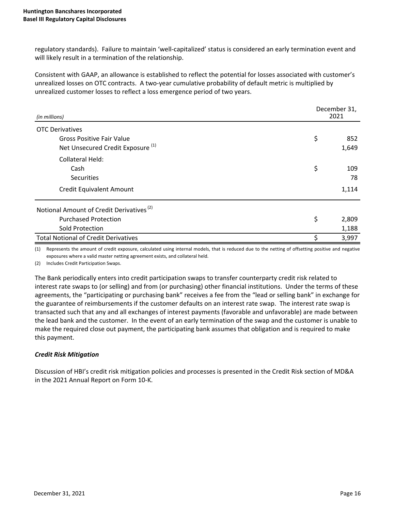regulatory standards). Failure to maintain 'well-capitalized' status is considered an early termination event and will likely result in a termination of the relationship.

Consistent with GAAP, an allowance is established to reflect the potential for losses associated with customer's unrealized losses on OTC contracts. A two-year cumulative probability of default metric is multiplied by unrealized customer losses to reflect a loss emergence period of two years.

| (in millions)                                        | December 31,<br>2021 |       |  |
|------------------------------------------------------|----------------------|-------|--|
| <b>OTC Derivatives</b>                               |                      |       |  |
| <b>Gross Positive Fair Value</b>                     | \$                   | 852   |  |
| Net Unsecured Credit Exposure <sup>(1)</sup>         |                      | 1,649 |  |
| <b>Collateral Held:</b>                              |                      |       |  |
| Cash                                                 | \$                   | 109   |  |
| <b>Securities</b>                                    |                      | 78    |  |
| <b>Credit Equivalent Amount</b>                      |                      | 1,114 |  |
| Notional Amount of Credit Derivatives <sup>(2)</sup> |                      |       |  |
| <b>Purchased Protection</b>                          | \$                   | 2,809 |  |
| Sold Protection                                      |                      | 1,188 |  |
| <b>Total Notional of Credit Derivatives</b>          | \$                   | 3,997 |  |

(1) Represents the amount of credit exposure, calculated using internal models, that is reduced due to the netting of offsetting positive and negative exposures where a valid master netting agreement exists, and collateral held.

(2) Includes Credit Participation Swaps.

The Bank periodically enters into credit participation swaps to transfer counterparty credit risk related to interest rate swaps to (or selling) and from (or purchasing) other financial institutions. Under the terms of these agreements, the "participating or purchasing bank" receives a fee from the "lead or selling bank" in exchange for the guarantee of reimbursements if the customer defaults on an interest rate swap. The interest rate swap is transacted such that any and all exchanges of interest payments (favorable and unfavorable) are made between the lead bank and the customer. In the event of an early termination of the swap and the customer is unable to make the required close out payment, the participating bank assumes that obligation and is required to make this payment.

# *Credit Risk Mitigation*

Discussion of HBI's credit risk mitigation policies and processes is presented in the Credit Risk section of MD&A in the 2021 Annual Report on Form 10-K.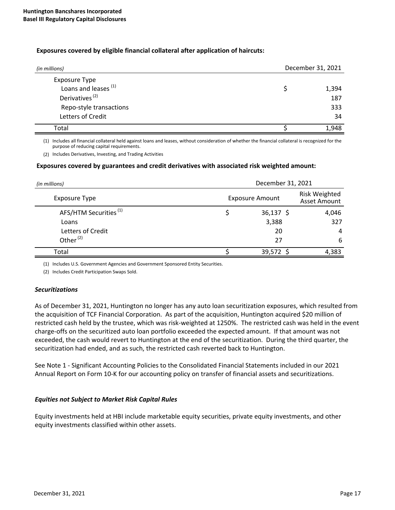#### **Exposures covered by eligible financial collateral after application of haircuts:**

| (in millions)                   | December 31, 2021 |
|---------------------------------|-------------------|
| <b>Exposure Type</b>            |                   |
| Loans and leases <sup>(1)</sup> | 1,394             |
| Derivatives <sup>(2)</sup>      | 187               |
| Repo-style transactions         | 333               |
| Letters of Credit               | 34                |
| Total                           | 1,948             |

(1) Includes all financial collateral held against loans and leases, without consideration of whether the financial collateral is recognized for the purpose of reducing capital requirements.

(2) Includes Derivatives, Investing, and Trading Activities

#### Exposures covered by guarantees and credit derivatives with associated risk weighted amount:

| (in millions)                     | December 31, 2021      |                                             |       |  |  |
|-----------------------------------|------------------------|---------------------------------------------|-------|--|--|
| <b>Exposure Type</b>              | <b>Exposure Amount</b> | <b>Risk Weighted</b><br><b>Asset Amount</b> |       |  |  |
| AFS/HTM Securities <sup>(1)</sup> |                        | $36,137$ \$                                 | 4,046 |  |  |
| Loans                             |                        | 3,388                                       | 327   |  |  |
| Letters of Credit                 |                        | 20                                          | 4     |  |  |
| Other <sup>(2)</sup>              |                        | 27                                          | 6     |  |  |
| Total                             |                        | 39,572                                      | 4,383 |  |  |

(1) Includes U.S. Government Agencies and Government Sponsored Entity Securities.

(2) Includes Credit Participation Swaps Sold.

#### *Securitizations*

As of December 31, 2021, Huntington no longer has any auto loan securitization exposures, which resulted from the acquisition of TCF Financial Corporation. As part of the acquisition, Huntington acquired \$20 million of restricted cash held by the trustee, which was risk-weighted at 1250%. The restricted cash was held in the event charge-offs on the securitized auto loan portfolio exceeded the expected amount. If that amount was not exceeded, the cash would revert to Huntington at the end of the securitization. During the third quarter, the securitization had ended, and as such, the restricted cash reverted back to Huntington.

See Note 1 - Significant Accounting Policies to the Consolidated Financial Statements included in our 2021 Annual Report on Form 10-K for our accounting policy on transfer of financial assets and securitizations.

#### *Equities not Subject to Market Risk Capital Rules*

Equity investments held at HBI include marketable equity securities, private equity investments, and other equity investments classified within other assets.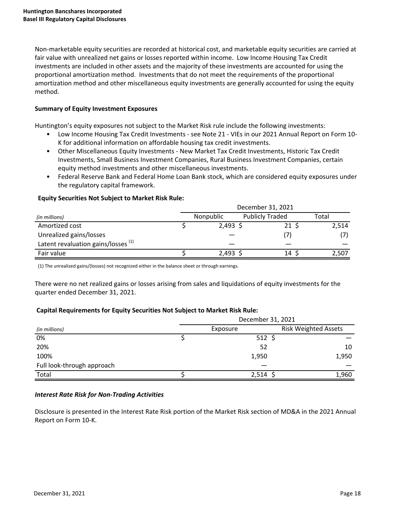Non-marketable equity securities are recorded at historical cost, and marketable equity securities are carried at fair value with unrealized net gains or losses reported within income. Low Income Housing Tax Credit investments are included in other assets and the majority of these investments are accounted for using the proportional amortization method. Investments that do not meet the requirements of the proportional amortization method and other miscellaneous equity investments are generally accounted for using the equity method. 

## **Summary of Equity Investment Exposures**

Huntington's equity exposures not subject to the Market Risk rule include the following investments:

- Low Income Housing Tax Credit Investments see Note 21 VIEs in our 2021 Annual Report on Form 10-K for additional information on affordable housing tax credit investments.
- Other Miscellaneous Equity Investments New Market Tax Credit Investments, Historic Tax Credit Investments, Small Business Investment Companies, Rural Business Investment Companies, certain equity method investments and other miscellaneous investments.
- Federal Reserve Bank and Federal Home Loan Bank stock, which are considered equity exposures under the regulatory capital framework.

|                                                | December 31, 2021 |                  |                        |       |
|------------------------------------------------|-------------------|------------------|------------------------|-------|
| (in millions)                                  |                   | <b>Nonpublic</b> | <b>Publicly Traded</b> | Total |
| Amortized cost                                 |                   | $2,493$ \$       | $21 \div$              | 2,514 |
| Unrealized gains/losses                        |                   |                  | (7)                    |       |
| Latent revaluation gains/losses <sup>(1)</sup> |                   |                  |                        |       |
| Fair value                                     |                   | $2,493$ \$       | 14                     | 2,507 |

#### **Equity Securities Not Subject to Market Risk Rule:**

(1) The unrealized gains/(losses) not recognized either in the balance sheet or through earnings.

There were no net realized gains or losses arising from sales and liquidations of equity investments for the quarter ended December 31, 2021.

# Capital Requirements for Equity Securities Not Subject to Market Risk Rule:

|                            | December 31, 2021 |                   |                             |  |  |
|----------------------------|-------------------|-------------------|-----------------------------|--|--|
| (in millions)              |                   | Exposure          | <b>Risk Weighted Assets</b> |  |  |
| 0%                         |                   | $512 \; \text{S}$ |                             |  |  |
| 20%                        |                   | 52                | 10                          |  |  |
| 100%                       |                   | 1,950             | 1,950                       |  |  |
| Full look-through approach |                   |                   |                             |  |  |
| Total                      |                   | $2,514$ \$        | 1,960                       |  |  |

# *Interest Rate Risk for Non-Trading Activities*

Disclosure is presented in the Interest Rate Risk portion of the Market Risk section of MD&A in the 2021 Annual Report on Form 10-K.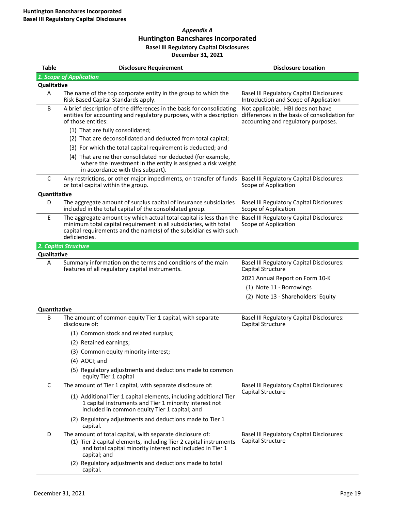## *Appendix A* **Huntington Bancshares Incorporated Basel III Regulatory Capital Disclosures December 31, 2021**

| <b>Table</b> | <b>Disclosure Requirement</b>                                                                                                                                                                                                                                             | <b>Disclosure Location</b>                                                                                                |
|--------------|---------------------------------------------------------------------------------------------------------------------------------------------------------------------------------------------------------------------------------------------------------------------------|---------------------------------------------------------------------------------------------------------------------------|
|              | 1. Scope of Application                                                                                                                                                                                                                                                   |                                                                                                                           |
| Qualitative  |                                                                                                                                                                                                                                                                           |                                                                                                                           |
| А            | The name of the top corporate entity in the group to which the<br>Risk Based Capital Standards apply.                                                                                                                                                                     | <b>Basel III Regulatory Capital Disclosures:</b><br>Introduction and Scope of Application                                 |
| B            | A brief description of the differences in the basis for consolidating<br>entities for accounting and regulatory purposes, with a description<br>of those entities:                                                                                                        | Not applicable. HBI does not have<br>differences in the basis of consolidation for<br>accounting and regulatory purposes. |
|              | (1) That are fully consolidated;                                                                                                                                                                                                                                          |                                                                                                                           |
|              | (2) That are deconsolidated and deducted from total capital;                                                                                                                                                                                                              |                                                                                                                           |
|              | (3) For which the total capital requirement is deducted; and                                                                                                                                                                                                              |                                                                                                                           |
|              | (4) That are neither consolidated nor deducted (for example,<br>where the investment in the entity is assigned a risk weight<br>in accordance with this subpart).                                                                                                         |                                                                                                                           |
| C            | Any restrictions, or other major impediments, on transfer of funds Basel III Regulatory Capital Disclosures:<br>or total capital within the group.                                                                                                                        | Scope of Application                                                                                                      |
| Quantitative |                                                                                                                                                                                                                                                                           |                                                                                                                           |
| D            | The aggregate amount of surplus capital of insurance subsidiaries<br>included in the total capital of the consolidated group.                                                                                                                                             | <b>Basel III Regulatory Capital Disclosures:</b><br>Scope of Application                                                  |
| Ε            | The aggregate amount by which actual total capital is less than the Basel III Regulatory Capital Disclosures:<br>minimum total capital requirement in all subsidiaries, with total<br>capital requirements and the name(s) of the subsidiaries with such<br>deficiencies. | Scope of Application                                                                                                      |
|              | 2. Capital Structure                                                                                                                                                                                                                                                      |                                                                                                                           |
| Qualitative  |                                                                                                                                                                                                                                                                           |                                                                                                                           |
| A            | Summary information on the terms and conditions of the main<br>features of all regulatory capital instruments.                                                                                                                                                            | <b>Basel III Regulatory Capital Disclosures:</b><br>Capital Structure                                                     |
|              |                                                                                                                                                                                                                                                                           | 2021 Annual Report on Form 10-K                                                                                           |
|              |                                                                                                                                                                                                                                                                           | (1) Note 11 - Borrowings                                                                                                  |
|              |                                                                                                                                                                                                                                                                           | (2) Note 13 - Shareholders' Equity                                                                                        |
| Quantitative |                                                                                                                                                                                                                                                                           |                                                                                                                           |
| B            | The amount of common equity Tier 1 capital, with separate<br>disclosure of:                                                                                                                                                                                               | <b>Basel III Regulatory Capital Disclosures:</b><br>Capital Structure                                                     |
|              | (1) Common stock and related surplus;                                                                                                                                                                                                                                     |                                                                                                                           |
|              | (2) Retained earnings;                                                                                                                                                                                                                                                    |                                                                                                                           |
|              | (3) Common equity minority interest;                                                                                                                                                                                                                                      |                                                                                                                           |
|              | (4) AOCI; and                                                                                                                                                                                                                                                             |                                                                                                                           |
|              | (5) Regulatory adjustments and deductions made to common<br>equity Tier 1 capital                                                                                                                                                                                         |                                                                                                                           |
| C            | The amount of Tier 1 capital, with separate disclosure of:                                                                                                                                                                                                                | <b>Basel III Regulatory Capital Disclosures:</b>                                                                          |
|              | (1) Additional Tier 1 capital elements, including additional Tier<br>1 capital instruments and Tier 1 minority interest not<br>included in common equity Tier 1 capital; and                                                                                              | Capital Structure                                                                                                         |
|              | (2) Regulatory adjustments and deductions made to Tier 1<br>capital.                                                                                                                                                                                                      |                                                                                                                           |
| D            | The amount of total capital, with separate disclosure of:                                                                                                                                                                                                                 | Basel III Regulatory Capital Disclosures:                                                                                 |
|              | (1) Tier 2 capital elements, including Tier 2 capital instruments<br>and total capital minority interest not included in Tier 1<br>capital; and                                                                                                                           | Capital Structure                                                                                                         |
|              | (2) Regulatory adjustments and deductions made to total<br>capital.                                                                                                                                                                                                       |                                                                                                                           |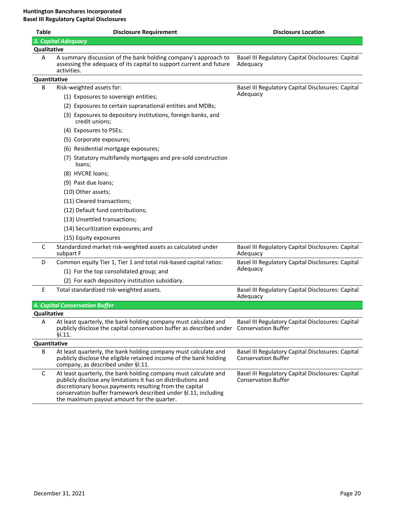| <b>Table</b> | <b>Disclosure Requirement</b>                                                                                                                                                                                                                                                                               | <b>Disclosure Location</b>                                                      |
|--------------|-------------------------------------------------------------------------------------------------------------------------------------------------------------------------------------------------------------------------------------------------------------------------------------------------------------|---------------------------------------------------------------------------------|
|              | 3. Capital Adequacy                                                                                                                                                                                                                                                                                         |                                                                                 |
| Qualitative  |                                                                                                                                                                                                                                                                                                             |                                                                                 |
| A            | A summary discussion of the bank holding company's approach to<br>assessing the adequacy of its capital to support current and future<br>activities.                                                                                                                                                        | Basel III Regulatory Capital Disclosures: Capital<br>Adequacy                   |
| Quantitative |                                                                                                                                                                                                                                                                                                             |                                                                                 |
| B            | Risk-weighted assets for:                                                                                                                                                                                                                                                                                   | Basel III Regulatory Capital Disclosures: Capital                               |
|              | (1) Exposures to sovereign entities;                                                                                                                                                                                                                                                                        | Adequacy                                                                        |
|              | (2) Exposures to certain supranational entities and MDBs;                                                                                                                                                                                                                                                   |                                                                                 |
|              | (3) Exposures to depository institutions, foreign banks, and<br>credit unions;                                                                                                                                                                                                                              |                                                                                 |
|              | (4) Exposures to PSEs;                                                                                                                                                                                                                                                                                      |                                                                                 |
|              | (5) Corporate exposures;                                                                                                                                                                                                                                                                                    |                                                                                 |
|              | (6) Residential mortgage exposures;                                                                                                                                                                                                                                                                         |                                                                                 |
|              | (7) Statutory multifamily mortgages and pre-sold construction<br>loans;                                                                                                                                                                                                                                     |                                                                                 |
|              | (8) HVCRE loans;                                                                                                                                                                                                                                                                                            |                                                                                 |
|              | (9) Past due loans;                                                                                                                                                                                                                                                                                         |                                                                                 |
|              | (10) Other assets;                                                                                                                                                                                                                                                                                          |                                                                                 |
|              | (11) Cleared transactions;                                                                                                                                                                                                                                                                                  |                                                                                 |
|              | (12) Default fund contributions;                                                                                                                                                                                                                                                                            |                                                                                 |
|              | (13) Unsettled transactions;                                                                                                                                                                                                                                                                                |                                                                                 |
|              | (14) Securitization exposures; and                                                                                                                                                                                                                                                                          |                                                                                 |
|              | (15) Equity exposures                                                                                                                                                                                                                                                                                       |                                                                                 |
| C            | Standardized market risk-weighted assets as calculated under<br>subpart F                                                                                                                                                                                                                                   | Basel III Regulatory Capital Disclosures: Capital<br>Adequacy                   |
| D            | Common equity Tier 1, Tier 1 and total risk-based capital ratios:                                                                                                                                                                                                                                           | Basel III Regulatory Capital Disclosures: Capital                               |
|              | (1) For the top consolidated group; and                                                                                                                                                                                                                                                                     | Adequacy                                                                        |
|              | (2) For each depository institution subsidiary.                                                                                                                                                                                                                                                             |                                                                                 |
| E            | Total standardized risk-weighted assets.                                                                                                                                                                                                                                                                    | Basel III Regulatory Capital Disclosures: Capital<br>Adequacy                   |
|              | <b>4. Capital Conservation Buffer</b>                                                                                                                                                                                                                                                                       |                                                                                 |
| Qualitative  |                                                                                                                                                                                                                                                                                                             |                                                                                 |
| A            | At least quarterly, the bank holding company must calculate and<br>publicly disclose the capital conservation buffer as described under<br>\$1.11.                                                                                                                                                          | Basel III Regulatory Capital Disclosures: Capital<br><b>Conservation Buffer</b> |
| Quantitative |                                                                                                                                                                                                                                                                                                             |                                                                                 |
| В            | At least quarterly, the bank holding company must calculate and<br>publicly disclose the eligible retained income of the bank holding<br>company, as described under §I.11.                                                                                                                                 | Basel III Regulatory Capital Disclosures: Capital<br><b>Conservation Buffer</b> |
| C            | At least quarterly, the bank holding company must calculate and<br>publicly disclose any limitations it has on distributions and<br>discretionary bonus payments resulting from the capital<br>conservation buffer framework described under §I.11, including<br>the maximum payout amount for the quarter. | Basel III Regulatory Capital Disclosures: Capital<br><b>Conservation Buffer</b> |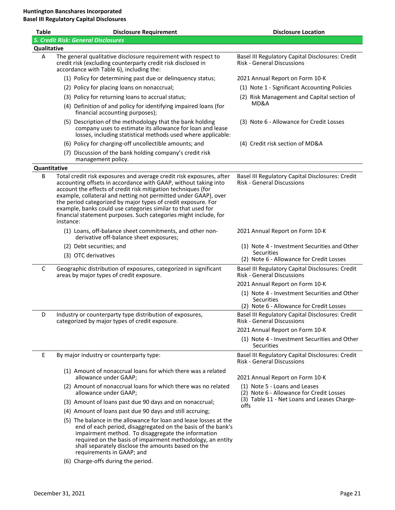| <b>Table</b> | <b>Disclosure Requirement</b>                                                                                                                                                                                                                                                                                                                                                                                                                                                                 | <b>Disclosure Location</b>                                                                                    |
|--------------|-----------------------------------------------------------------------------------------------------------------------------------------------------------------------------------------------------------------------------------------------------------------------------------------------------------------------------------------------------------------------------------------------------------------------------------------------------------------------------------------------|---------------------------------------------------------------------------------------------------------------|
|              | 5. Credit Risk: General Disclosures                                                                                                                                                                                                                                                                                                                                                                                                                                                           |                                                                                                               |
| Qualitative  |                                                                                                                                                                                                                                                                                                                                                                                                                                                                                               |                                                                                                               |
| Α            | The general qualitative disclosure requirement with respect to<br>credit risk (excluding counterparty credit risk disclosed in<br>accordance with Table 6), including the:                                                                                                                                                                                                                                                                                                                    | Basel III Regulatory Capital Disclosures: Credit<br><b>Risk - General Discussions</b>                         |
|              | (1) Policy for determining past due or delinquency status;                                                                                                                                                                                                                                                                                                                                                                                                                                    | 2021 Annual Report on Form 10-K                                                                               |
|              | (2) Policy for placing loans on nonaccrual;                                                                                                                                                                                                                                                                                                                                                                                                                                                   | (1) Note 1 - Significant Accounting Policies                                                                  |
|              | (3) Policy for returning loans to accrual status;                                                                                                                                                                                                                                                                                                                                                                                                                                             | (2) Risk Management and Capital section of                                                                    |
|              | (4) Definition of and policy for identifying impaired loans (for<br>financial accounting purposes);                                                                                                                                                                                                                                                                                                                                                                                           | MD&A                                                                                                          |
|              | (5) Description of the methodology that the bank holding<br>company uses to estimate its allowance for loan and lease<br>losses, including statistical methods used where applicable:                                                                                                                                                                                                                                                                                                         | (3) Note 6 - Allowance for Credit Losses                                                                      |
|              | (6) Policy for charging-off uncollectible amounts; and                                                                                                                                                                                                                                                                                                                                                                                                                                        | (4) Credit risk section of MD&A                                                                               |
|              | (7) Discussion of the bank holding company's credit risk<br>management policy.                                                                                                                                                                                                                                                                                                                                                                                                                |                                                                                                               |
| Quantitative |                                                                                                                                                                                                                                                                                                                                                                                                                                                                                               |                                                                                                               |
| B            | Total credit risk exposures and average credit risk exposures, after<br>accounting offsets in accordance with GAAP, without taking into<br>account the effects of credit risk mitigation techniques (for<br>example, collateral and netting not permitted under GAAP), over<br>the period categorized by major types of credit exposure. For<br>example, banks could use categories similar to that used for<br>financial statement purposes. Such categories might include, for<br>instance: | Basel III Regulatory Capital Disclosures: Credit<br><b>Risk - General Discussions</b>                         |
|              | (1) Loans, off-balance sheet commitments, and other non-<br>derivative off-balance sheet exposures;                                                                                                                                                                                                                                                                                                                                                                                           | 2021 Annual Report on Form 10-K                                                                               |
|              | (2) Debt securities; and                                                                                                                                                                                                                                                                                                                                                                                                                                                                      | (1) Note 4 - Investment Securities and Other                                                                  |
|              | (3) OTC derivatives                                                                                                                                                                                                                                                                                                                                                                                                                                                                           | Securities<br>(2) Note 6 - Allowance for Credit Losses                                                        |
| C            | Geographic distribution of exposures, categorized in significant<br>areas by major types of credit exposure.                                                                                                                                                                                                                                                                                                                                                                                  | Basel III Regulatory Capital Disclosures: Credit<br><b>Risk - General Discussions</b>                         |
|              |                                                                                                                                                                                                                                                                                                                                                                                                                                                                                               | 2021 Annual Report on Form 10-K                                                                               |
|              |                                                                                                                                                                                                                                                                                                                                                                                                                                                                                               | (1) Note 4 - Investment Securities and Other<br><b>Securities</b><br>(2) Note 6 - Allowance for Credit Losses |
| D            | Industry or counterparty type distribution of exposures,<br>categorized by major types of credit exposure.                                                                                                                                                                                                                                                                                                                                                                                    | Basel III Regulatory Capital Disclosures: Credit<br>Risk - General Discussions                                |
|              |                                                                                                                                                                                                                                                                                                                                                                                                                                                                                               | 2021 Annual Report on Form 10-K                                                                               |
|              |                                                                                                                                                                                                                                                                                                                                                                                                                                                                                               | (1) Note 4 - Investment Securities and Other<br><b>Securities</b>                                             |
| Е            | By major industry or counterparty type:                                                                                                                                                                                                                                                                                                                                                                                                                                                       | Basel III Regulatory Capital Disclosures: Credit<br><b>Risk - General Discussions</b>                         |
|              | (1) Amount of nonaccrual loans for which there was a related<br>allowance under GAAP;                                                                                                                                                                                                                                                                                                                                                                                                         | 2021 Annual Report on Form 10-K                                                                               |
|              | (2) Amount of nonaccrual loans for which there was no related<br>allowance under GAAP;                                                                                                                                                                                                                                                                                                                                                                                                        | (1) Note 5 - Loans and Leases<br>(2) Note 6 - Allowance for Credit Losses                                     |
|              | (3) Amount of loans past due 90 days and on nonaccrual;                                                                                                                                                                                                                                                                                                                                                                                                                                       | (3) Table 11 - Net Loans and Leases Charge-<br>offs                                                           |
|              | (4) Amount of loans past due 90 days and still accruing;                                                                                                                                                                                                                                                                                                                                                                                                                                      |                                                                                                               |
|              | (5) The balance in the allowance for loan and lease losses at the<br>end of each period, disaggregated on the basis of the bank's<br>impairment method. To disaggregate the information<br>required on the basis of impairment methodology, an entity<br>shall separately disclose the amounts based on the<br>requirements in GAAP; and                                                                                                                                                      |                                                                                                               |

(6) Charge-offs during the period.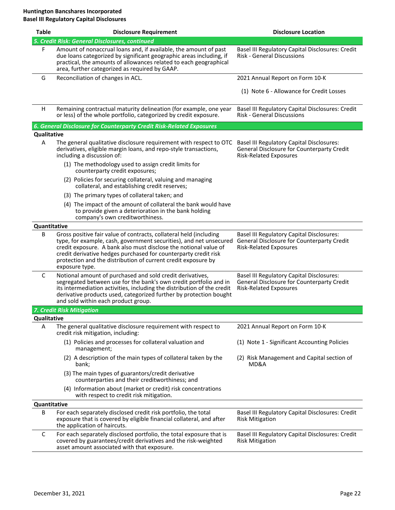| <b>Table</b>       | <b>Disclosure Requirement</b>                                                                                                                                                                                                                                                                                                                                      | <b>Disclosure Location</b>                                                                                                      |
|--------------------|--------------------------------------------------------------------------------------------------------------------------------------------------------------------------------------------------------------------------------------------------------------------------------------------------------------------------------------------------------------------|---------------------------------------------------------------------------------------------------------------------------------|
|                    | 5. Credit Risk: General Disclosures, continued                                                                                                                                                                                                                                                                                                                     |                                                                                                                                 |
| F                  | Amount of nonaccrual loans and, if available, the amount of past<br>due loans categorized by significant geographic areas including, if<br>practical, the amounts of allowances related to each geographical<br>area, further categorized as required by GAAP.                                                                                                     | Basel III Regulatory Capital Disclosures: Credit<br><b>Risk - General Discussions</b>                                           |
| G                  | Reconciliation of changes in ACL.                                                                                                                                                                                                                                                                                                                                  | 2021 Annual Report on Form 10-K                                                                                                 |
|                    |                                                                                                                                                                                                                                                                                                                                                                    | (1) Note 6 - Allowance for Credit Losses                                                                                        |
| H                  | Remaining contractual maturity delineation (for example, one year<br>or less) of the whole portfolio, categorized by credit exposure.                                                                                                                                                                                                                              | Basel III Regulatory Capital Disclosures: Credit<br>Risk - General Discussions                                                  |
|                    | 6. General Disclosure for Counterparty Credit Risk-Related Exposures                                                                                                                                                                                                                                                                                               |                                                                                                                                 |
| <b>Qualitative</b> |                                                                                                                                                                                                                                                                                                                                                                    |                                                                                                                                 |
| Α                  | The general qualitative disclosure requirement with respect to OTC<br>derivatives, eligible margin loans, and repo-style transactions,<br>including a discussion of:                                                                                                                                                                                               | <b>Basel III Regulatory Capital Disclosures:</b><br>General Disclosure for Counterparty Credit<br><b>Risk-Related Exposures</b> |
|                    | (1) The methodology used to assign credit limits for<br>counterparty credit exposures;                                                                                                                                                                                                                                                                             |                                                                                                                                 |
|                    | (2) Policies for securing collateral, valuing and managing<br>collateral, and establishing credit reserves;                                                                                                                                                                                                                                                        |                                                                                                                                 |
|                    | (3) The primary types of collateral taken; and                                                                                                                                                                                                                                                                                                                     |                                                                                                                                 |
|                    | (4) The impact of the amount of collateral the bank would have<br>to provide given a deterioration in the bank holding<br>company's own creditworthiness.                                                                                                                                                                                                          |                                                                                                                                 |
| Quantitative       |                                                                                                                                                                                                                                                                                                                                                                    |                                                                                                                                 |
| B                  | Gross positive fair value of contracts, collateral held (including<br>type, for example, cash, government securities), and net unsecured<br>credit exposure. A bank also must disclose the notional value of<br>credit derivative hedges purchased for counterparty credit risk<br>protection and the distribution of current credit exposure by<br>exposure type. | <b>Basel III Regulatory Capital Disclosures:</b><br>General Disclosure for Counterparty Credit<br><b>Risk-Related Exposures</b> |
| C                  | Notional amount of purchased and sold credit derivatives,<br>segregated between use for the bank's own credit portfolio and in<br>its intermediation activities, including the distribution of the credit<br>derivative products used, categorized further by protection bought<br>and sold within each product group.                                             | <b>Basel III Regulatory Capital Disclosures:</b><br>General Disclosure for Counterparty Credit<br><b>Risk-Related Exposures</b> |
|                    | 7. Credit Risk Mitigation                                                                                                                                                                                                                                                                                                                                          |                                                                                                                                 |
| Qualitative        |                                                                                                                                                                                                                                                                                                                                                                    |                                                                                                                                 |
| Α                  | The general qualitative disclosure requirement with respect to<br>credit risk mitigation, including:                                                                                                                                                                                                                                                               | 2021 Annual Report on Form 10-K                                                                                                 |
|                    | (1) Policies and processes for collateral valuation and<br>management;                                                                                                                                                                                                                                                                                             | (1) Note 1 - Significant Accounting Policies                                                                                    |
|                    | (2) A description of the main types of collateral taken by the<br>bank;                                                                                                                                                                                                                                                                                            | (2) Risk Management and Capital section of<br>MD&A                                                                              |
|                    | (3) The main types of guarantors/credit derivative<br>counterparties and their creditworthiness; and                                                                                                                                                                                                                                                               |                                                                                                                                 |
|                    | (4) Information about (market or credit) risk concentrations<br>with respect to credit risk mitigation.                                                                                                                                                                                                                                                            |                                                                                                                                 |
| Quantitative       |                                                                                                                                                                                                                                                                                                                                                                    |                                                                                                                                 |
| B                  | For each separately disclosed credit risk portfolio, the total<br>exposure that is covered by eligible financial collateral, and after<br>the application of haircuts.                                                                                                                                                                                             | Basel III Regulatory Capital Disclosures: Credit<br><b>Risk Mitigation</b>                                                      |
| C                  | For each separately disclosed portfolio, the total exposure that is<br>covered by guarantees/credit derivatives and the risk-weighted<br>asset amount associated with that exposure.                                                                                                                                                                               | Basel III Regulatory Capital Disclosures: Credit<br><b>Risk Mitigation</b>                                                      |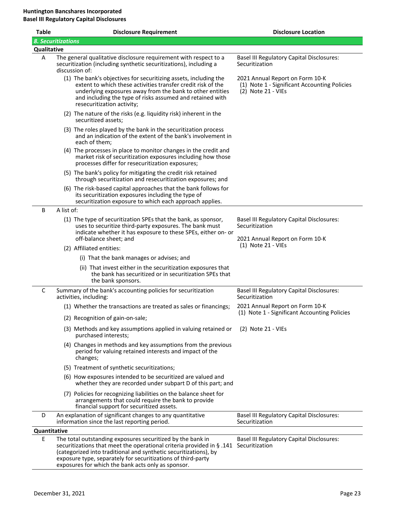| <b>Table</b>              |                                                                                                                                                         | <b>Disclosure Requirement</b>                                                                                                                                                                                                                                                                                                                   | <b>Disclosure Location</b>                                                                              |
|---------------------------|---------------------------------------------------------------------------------------------------------------------------------------------------------|-------------------------------------------------------------------------------------------------------------------------------------------------------------------------------------------------------------------------------------------------------------------------------------------------------------------------------------------------|---------------------------------------------------------------------------------------------------------|
| <b>8. Securitizations</b> |                                                                                                                                                         |                                                                                                                                                                                                                                                                                                                                                 |                                                                                                         |
| Qualitative               |                                                                                                                                                         |                                                                                                                                                                                                                                                                                                                                                 |                                                                                                         |
| Α                         | The general qualitative disclosure requirement with respect to a<br>securitization (including synthetic securitizations), including a<br>discussion of: |                                                                                                                                                                                                                                                                                                                                                 | Basel III Regulatory Capital Disclosures:<br>Securitization                                             |
|                           |                                                                                                                                                         | (1) The bank's objectives for securitizing assets, including the<br>extent to which these activities transfer credit risk of the<br>underlying exposures away from the bank to other entities<br>and including the type of risks assumed and retained with<br>resecuritization activity;                                                        | 2021 Annual Report on Form 10-K<br>(1) Note 1 - Significant Accounting Policies<br>$(2)$ Note 21 - VIEs |
|                           |                                                                                                                                                         | (2) The nature of the risks (e.g. liquidity risk) inherent in the<br>securitized assets;                                                                                                                                                                                                                                                        |                                                                                                         |
|                           |                                                                                                                                                         | (3) The roles played by the bank in the securitization process<br>and an indication of the extent of the bank's involvement in<br>each of them;                                                                                                                                                                                                 |                                                                                                         |
|                           |                                                                                                                                                         | (4) The processes in place to monitor changes in the credit and<br>market risk of securitization exposures including how those<br>processes differ for resecuritization exposures;                                                                                                                                                              |                                                                                                         |
|                           |                                                                                                                                                         | (5) The bank's policy for mitigating the credit risk retained<br>through securitization and resecuritization exposures; and                                                                                                                                                                                                                     |                                                                                                         |
|                           |                                                                                                                                                         | (6) The risk-based capital approaches that the bank follows for<br>its securitization exposures including the type of<br>securitization exposure to which each approach applies.                                                                                                                                                                |                                                                                                         |
| B                         | A list of:                                                                                                                                              |                                                                                                                                                                                                                                                                                                                                                 |                                                                                                         |
|                           |                                                                                                                                                         | (1) The type of securitization SPEs that the bank, as sponsor,<br>uses to securitize third-party exposures. The bank must<br>indicate whether it has exposure to these SPEs, either on- or<br>off-balance sheet; and                                                                                                                            | Basel III Regulatory Capital Disclosures:<br>Securitization<br>2021 Annual Report on Form 10-K          |
|                           |                                                                                                                                                         | (2) Affiliated entities:                                                                                                                                                                                                                                                                                                                        | $(1)$ Note 21 - VIEs                                                                                    |
|                           |                                                                                                                                                         | (i) That the bank manages or advises; and                                                                                                                                                                                                                                                                                                       |                                                                                                         |
|                           |                                                                                                                                                         | (ii) That invest either in the securitization exposures that<br>the bank has securitized or in securitization SPEs that<br>the bank sponsors.                                                                                                                                                                                                   |                                                                                                         |
| C                         |                                                                                                                                                         | Summary of the bank's accounting policies for securitization<br>activities, including:                                                                                                                                                                                                                                                          | <b>Basel III Regulatory Capital Disclosures:</b><br>Securitization                                      |
|                           |                                                                                                                                                         | (1) Whether the transactions are treated as sales or financings;                                                                                                                                                                                                                                                                                | 2021 Annual Report on Form 10-K                                                                         |
|                           |                                                                                                                                                         | (2) Recognition of gain-on-sale;                                                                                                                                                                                                                                                                                                                | (1) Note 1 - Significant Accounting Policies                                                            |
|                           |                                                                                                                                                         | (3) Methods and key assumptions applied in valuing retained or<br>purchased interests;                                                                                                                                                                                                                                                          | $(2)$ Note 21 - VIEs                                                                                    |
|                           |                                                                                                                                                         | (4) Changes in methods and key assumptions from the previous<br>period for valuing retained interests and impact of the<br>changes;                                                                                                                                                                                                             |                                                                                                         |
|                           |                                                                                                                                                         | (5) Treatment of synthetic securitizations;                                                                                                                                                                                                                                                                                                     |                                                                                                         |
|                           |                                                                                                                                                         | (6) How exposures intended to be securitized are valued and<br>whether they are recorded under subpart D of this part; and                                                                                                                                                                                                                      |                                                                                                         |
|                           |                                                                                                                                                         | (7) Policies for recognizing liabilities on the balance sheet for<br>arrangements that could require the bank to provide<br>financial support for securitized assets.                                                                                                                                                                           |                                                                                                         |
| D                         |                                                                                                                                                         | An explanation of significant changes to any quantitative<br>information since the last reporting period.                                                                                                                                                                                                                                       | <b>Basel III Regulatory Capital Disclosures:</b><br>Securitization                                      |
| Quantitative              |                                                                                                                                                         |                                                                                                                                                                                                                                                                                                                                                 |                                                                                                         |
| E                         |                                                                                                                                                         | The total outstanding exposures securitized by the bank in<br>securitizations that meet the operational criteria provided in $\S$ .141 Securitization<br>(categorized into traditional and synthetic securitizations), by<br>exposure type, separately for securitizations of third-party<br>exposures for which the bank acts only as sponsor. | <b>Basel III Regulatory Capital Disclosures:</b>                                                        |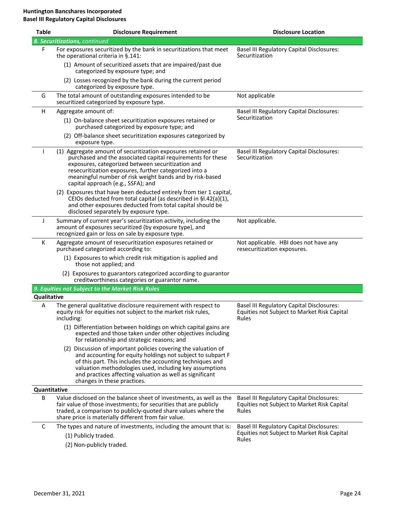| <b>Table</b> | <b>Disclosure Requirement</b>                                                                                                                                                                                                                                                                                                                    | <b>Disclosure Location</b>                                                                               |
|--------------|--------------------------------------------------------------------------------------------------------------------------------------------------------------------------------------------------------------------------------------------------------------------------------------------------------------------------------------------------|----------------------------------------------------------------------------------------------------------|
|              | 8. Securitizations, continued                                                                                                                                                                                                                                                                                                                    |                                                                                                          |
| F            | For exposures securitized by the bank in securitizations that meet<br>the operational criteria in §.141:                                                                                                                                                                                                                                         | <b>Basel III Regulatory Capital Disclosures:</b><br>Securitization                                       |
|              | (1) Amount of securitized assets that are impaired/past due<br>categorized by exposure type; and                                                                                                                                                                                                                                                 |                                                                                                          |
|              | (2) Losses recognized by the bank during the current period<br>categorized by exposure type.                                                                                                                                                                                                                                                     |                                                                                                          |
| G            | The total amount of outstanding exposures intended to be<br>securitized categorized by exposure type.                                                                                                                                                                                                                                            | Not applicable                                                                                           |
| H            | Aggregate amount of:                                                                                                                                                                                                                                                                                                                             | <b>Basel III Regulatory Capital Disclosures:</b>                                                         |
|              | (1) On-balance sheet securitization exposures retained or<br>purchased categorized by exposure type; and                                                                                                                                                                                                                                         | Securitization                                                                                           |
|              | (2) Off-balance sheet securitization exposures categorized by<br>exposure type.                                                                                                                                                                                                                                                                  |                                                                                                          |
|              | (1) Aggregate amount of securitization exposures retained or<br>purchased and the associated capital requirements for these<br>exposures, categorized between securitization and<br>resecuritization exposures, further categorized into a<br>meaningful number of risk weight bands and by risk-based<br>capital approach (e.g., SSFA); and     | <b>Basel III Regulatory Capital Disclosures:</b><br>Securitization                                       |
|              | (2) Exposures that have been deducted entirely from tier 1 capital,<br>CEIOs deducted from total capital (as described in §I.42(a)(1),<br>and other exposures deducted from total capital should be<br>disclosed separately by exposure type.                                                                                                    |                                                                                                          |
| J            | Summary of current year's securitization activity, including the<br>amount of exposures securitized (by exposure type), and<br>recognized gain or loss on sale by exposure type.                                                                                                                                                                 | Not applicable.                                                                                          |
| К            | Aggregate amount of resecuritization exposures retained or<br>purchased categorized according to:                                                                                                                                                                                                                                                | Not applicable. HBI does not have any<br>resecuritization exposures.                                     |
|              | (1) Exposures to which credit risk mitigation is applied and<br>those not applied; and                                                                                                                                                                                                                                                           |                                                                                                          |
|              | (2) Exposures to guarantors categorized according to guarantor<br>creditworthiness categories or guarantor name.                                                                                                                                                                                                                                 |                                                                                                          |
|              | 9. Equities not Subject to the Market Risk Rules                                                                                                                                                                                                                                                                                                 |                                                                                                          |
| Qualitative  |                                                                                                                                                                                                                                                                                                                                                  |                                                                                                          |
| A            | The general qualitative disclosure requirement with respect to<br>equity risk for equities not subject to the market risk rules,<br>including:                                                                                                                                                                                                   | <b>Basel III Regulatory Capital Disclosures:</b><br>Equities not Subject to Market Risk Capital<br>Rules |
|              | (1) Differentiation between holdings on which capital gains are<br>expected and those taken under other objectives including<br>for relationship and strategic reasons; and                                                                                                                                                                      |                                                                                                          |
|              | (2) Discussion of important policies covering the valuation of<br>and accounting for equity holdings not subject to subpart F<br>of this part. This includes the accounting techniques and<br>valuation methodologies used, including key assumptions<br>and practices affecting valuation as well as significant<br>changes in these practices. |                                                                                                          |
| Quantitative |                                                                                                                                                                                                                                                                                                                                                  |                                                                                                          |
| B            | Value disclosed on the balance sheet of investments, as well as the<br>fair value of those investments; for securities that are publicly<br>traded, a comparison to publicly-quoted share values where the<br>share price is materially different from fair value.                                                                               | <b>Basel III Regulatory Capital Disclosures:</b><br>Equities not Subject to Market Risk Capital<br>Rules |
| С            | The types and nature of investments, including the amount that is:                                                                                                                                                                                                                                                                               | <b>Basel III Regulatory Capital Disclosures:</b>                                                         |
|              | (1) Publicly traded.                                                                                                                                                                                                                                                                                                                             | Equities not Subject to Market Risk Capital<br>Rules                                                     |
|              | (2) Non-publicly traded.                                                                                                                                                                                                                                                                                                                         |                                                                                                          |